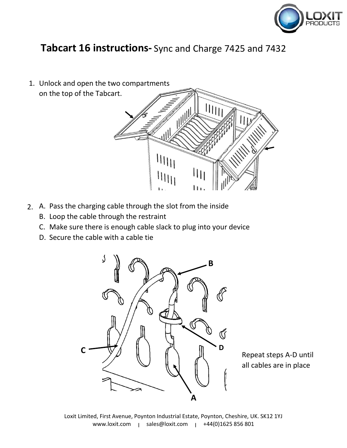

# **Tabcart 16 instructions-** Sync and Charge 7425 and 7432

1. Unlock and open the two compartments on the top of the Tabcart.



- A. Pass the charging cable through the slot from the inside 2.
	- B. Loop the cable through the restraint
	- C. Make sure there is enough cable slack to plug into your device
	- D. Secure the cable with a cable tie



Repeat steps A-D until all cables are in place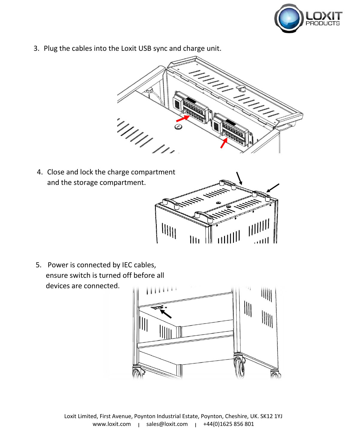

3. Plug the cables into the Loxit USB sync and charge unit.



4. Close and lock the charge compartment and the storage compartment.



5. Power is connected by IEC cables, ensure switch is turned off before all devices are connected.

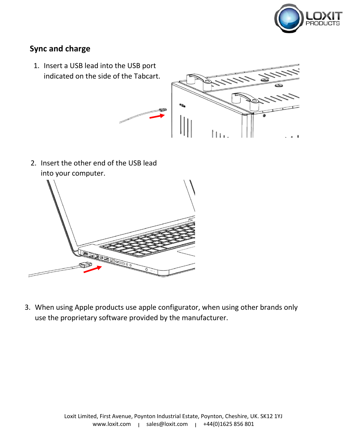

## **Sync and charge**

1. Insert a USB lead into the USB port indicated on the side of the Tabcart.



2. Insert the other end of the USB lead into your computer.



3. When using Apple products use apple configurator, when using other brands only use the proprietary software provided by the manufacturer.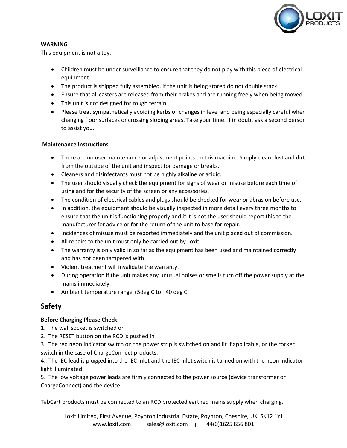

#### **WARNING**

This equipment is not a toy.

- Children must be under surveillance to ensure that they do not play with this piece of electrical equipment.
- The product is shipped fully assembled, if the unit is being stored do not double stack.
- Ensure that all casters are released from their brakes and are running freely when being moved.
- This unit is not designed for rough terrain.
- Please treat sympathetically avoiding kerbs or changes in level and being especially careful when changing floor surfaces or crossing sloping areas. Take your time. If in doubt ask a second person to assist you.

#### **Maintenance Instructions**

- There are no user maintenance or adjustment points on this machine. Simply clean dust and dirt from the outside of the unit and inspect for damage or breaks.
- Cleaners and disinfectants must not be highly alkaline or acidic.
- The user should visually check the equipment for signs of wear or misuse before each time of using and for the security of the screen or any accessories.
- The condition of electrical cables and plugs should be checked for wear or abrasion before use.
- In addition, the equipment should be visually inspected in more detail every three months to ensure that the unit is functioning properly and if it is not the user should report this to the manufacturer for advice or for the return of the unit to base for repair.
- Incidences of misuse must be reported immediately and the unit placed out of commission.
- All repairs to the unit must only be carried out by Loxit.
- The warranty is only valid in so far as the equipment has been used and maintained correctly and has not been tampered with.
- Violent treatment will invalidate the warranty.
- During operation if the unit makes any unusual noises or smells turn off the power supply at the mains immediately.
- Ambient temperature range +5deg C to +40 deg C.

### **Safety**

#### **Before Charging Please Check:**

- 1. The wall socket is switched on
- 2. The RESET button on the RCD is pushed in

3. The red neon indicator switch on the power strip is switched on and lit if applicable, or the rocker switch in the case of ChargeConnect products.

4. The IEC lead is plugged into the IEC inlet and the IEC Inlet switch is turned on with the neon indicator light illuminated.

5. The low voltage power leads are firmly connected to the power source (device transformer or ChargeConnect) and the device.

TabCart products must be connected to an RCD protected earthed mains supply when charging.